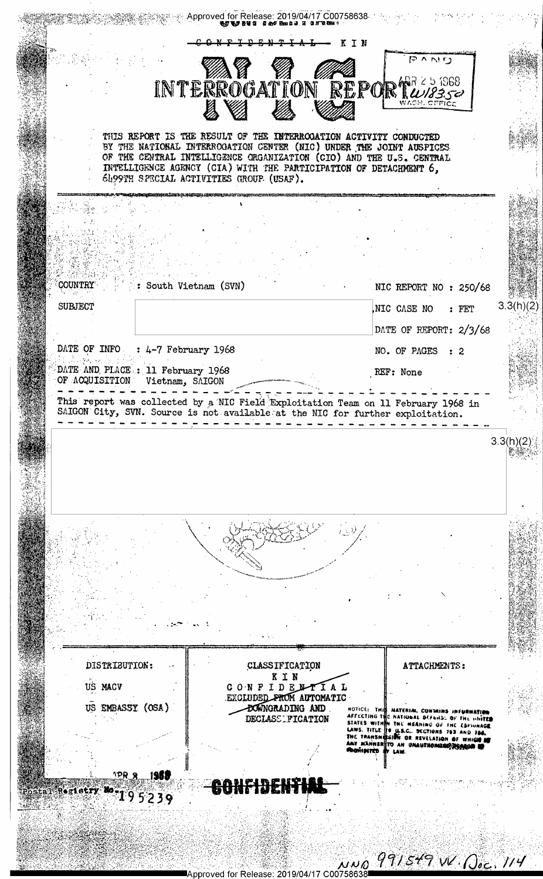$\mathbf{p}$ KIN PAND INTERROGATION REPORTWASSE THIS REPORT IS THE RESULT OF THE INTERROGATION ACTIVITY CONDUCTED BY THE NATIONAL INTERROGATION CENTER (NIC) UNDER THE JOINT AUSPICES OF THE CENTRAL INTELLIGENCE ORGANIZATION (CIO) AND THE U.S. CENTRAL INTELLIGENCE AGENCY (CIA) WITH THE PARTICIPATION OF DETACHMENT 6, 6499TH SPECIAL ACTIVITIES GROUP (USAF). COUNTRY : South Vietnam (SVN) NIC REPORT NO : 250/68  $3.3(h)(2)$ **SUBJECT** NIC CASE NO : FET DATE OF REPORT: 2/3/68 DATE OF INFO : 4-7 February 1968 NO. OF PAGES : 2 DATE AND PLACE : 11 February 1968 REF: None OF ACQUISITION Vietnam, SAIGON - - - - - - - -This report was collected by a NIC Field Exploitation Team on 11 February 1968 in SAIGON City, SVN. Source is not available at the NIC for further exploitation.  $3.3(h)(2)$ DISTRIBUTION: CLASSIFICATION ATTACHMENTS: KIN US MACV CONFIDENTIAL EXCLUDED PROM AUTOMATIC NOTICE: THIS HATERIAL CONVAINS INFURNATION<br>AFFECTING THE NATIONAL DEFNISE OF THE UNITED<br>STATES WITHIN THE MEANING OF THE ESTIUNAGE<br>LAWS. TITLE TO LES.C. SECTIONS 793 AND 784.<br>THE TRANSMESION OR REVELATION OF WHICH IS<br>ANY M US EMBASSY (OSA) **BOWNGRADING AND** DECLASS FICATION LAW HE DENT Postal Registry 195239 NNO 991549 W. Doc. 114 Approved for Release: 2019/04/17 C00